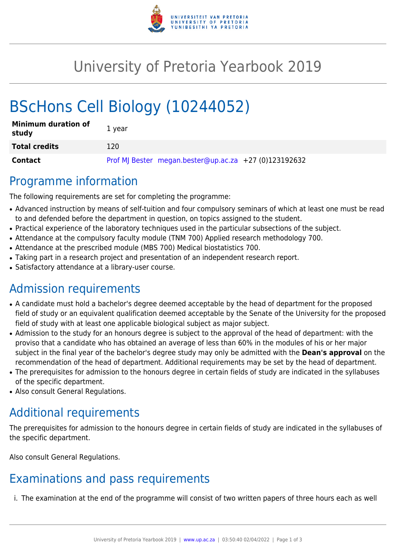

# University of Pretoria Yearbook 2019

# BScHons Cell Biology (10244052)

| <b>Minimum duration of</b><br>study | 1 year                                                |
|-------------------------------------|-------------------------------------------------------|
| <b>Total credits</b>                | 120                                                   |
| Contact                             | Prof MJ Bester megan.bester@up.ac.za +27 (0)123192632 |

#### Programme information

The following requirements are set for completing the programme:

- Advanced instruction by means of self-tuition and four compulsory seminars of which at least one must be read to and defended before the department in question, on topics assigned to the student.
- Practical experience of the laboratory techniques used in the particular subsections of the subject.
- Attendance at the compulsory faculty module (TNM 700) Applied research methodology 700.
- Attendance at the prescribed module (MBS 700) Medical biostatistics 700.
- Taking part in a research project and presentation of an independent research report.
- Satisfactory attendance at a library-user course.

## Admission requirements

- A candidate must hold a bachelor's degree deemed acceptable by the head of department for the proposed field of study or an equivalent qualification deemed acceptable by the Senate of the University for the proposed field of study with at least one applicable biological subject as major subject.
- Admission to the study for an honours degree is subject to the approval of the head of department: with the proviso that a candidate who has obtained an average of less than 60% in the modules of his or her major subject in the final year of the bachelor's degree study may only be admitted with the **Dean's approval** on the recommendation of the head of department. Additional requirements may be set by the head of department.
- The prerequisites for admission to the honours degree in certain fields of study are indicated in the syllabuses of the specific department.
- Also consult General Regulations.

## Additional requirements

The prerequisites for admission to the honours degree in certain fields of study are indicated in the syllabuses of the specific department.

Also consult General Regulations.

## Examinations and pass requirements

i. The examination at the end of the programme will consist of two written papers of three hours each as well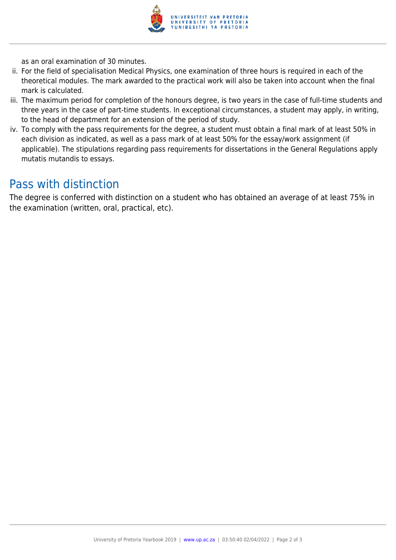

as an oral examination of 30 minutes.

- ii. For the field of specialisation Medical Physics, one examination of three hours is required in each of the theoretical modules. The mark awarded to the practical work will also be taken into account when the final mark is calculated.
- iii. The maximum period for completion of the honours degree, is two years in the case of full-time students and three years in the case of part-time students. In exceptional circumstances, a student may apply, in writing, to the head of department for an extension of the period of study.
- iv. To comply with the pass requirements for the degree, a student must obtain a final mark of at least 50% in each division as indicated, as well as a pass mark of at least 50% for the essay/work assignment (if applicable). The stipulations regarding pass requirements for dissertations in the General Regulations apply mutatis mutandis to essays.

#### Pass with distinction

The degree is conferred with distinction on a student who has obtained an average of at least 75% in the examination (written, oral, practical, etc).